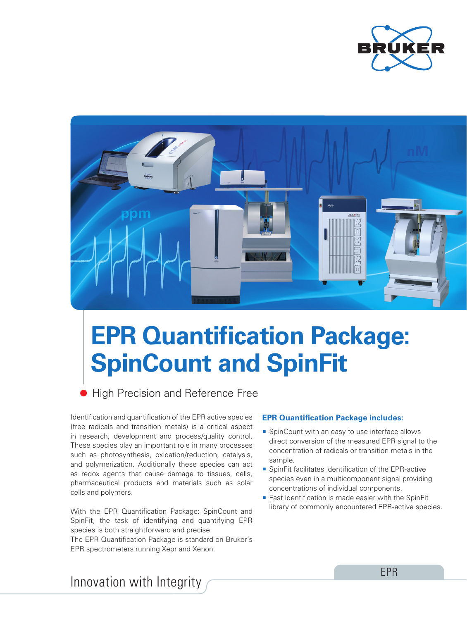



## **EPR Quantification Package: SpinCount and SpinFit**

**• High Precision and Reference Free** 

Identification and quantification of the EPR active species (free radicals and transition metals) is a critical aspect in research, development and process/quality control. These species play an important role in many processes such as photosynthesis, oxidation/reduction, catalysis, and polymerization. Additionally these species can act as redox agents that cause damage to tissues, cells, pharmaceutical products and materials such as solar cells and polymers.

With the EPR Quantification Package: SpinCount and SpinFit, the task of identifying and quantifying EPR species is both straightforward and precise.

The EPR Quantification Package is standard on Bruker's EPR spectrometers running Xepr and Xenon.

## **EPR Quantification Package includes:**

- **SpinCount with an easy to use interface allows** direct conversion of the measured EPR signal to the concentration of radicals or transition metals in the sample.
- SpinFit facilitates identification of the EPR-active species even in a multicomponent signal providing concentrations of individual components.
- Fast identification is made easier with the SpinFit library of commonly encountered EPR-active species.

Innovation with Integrity